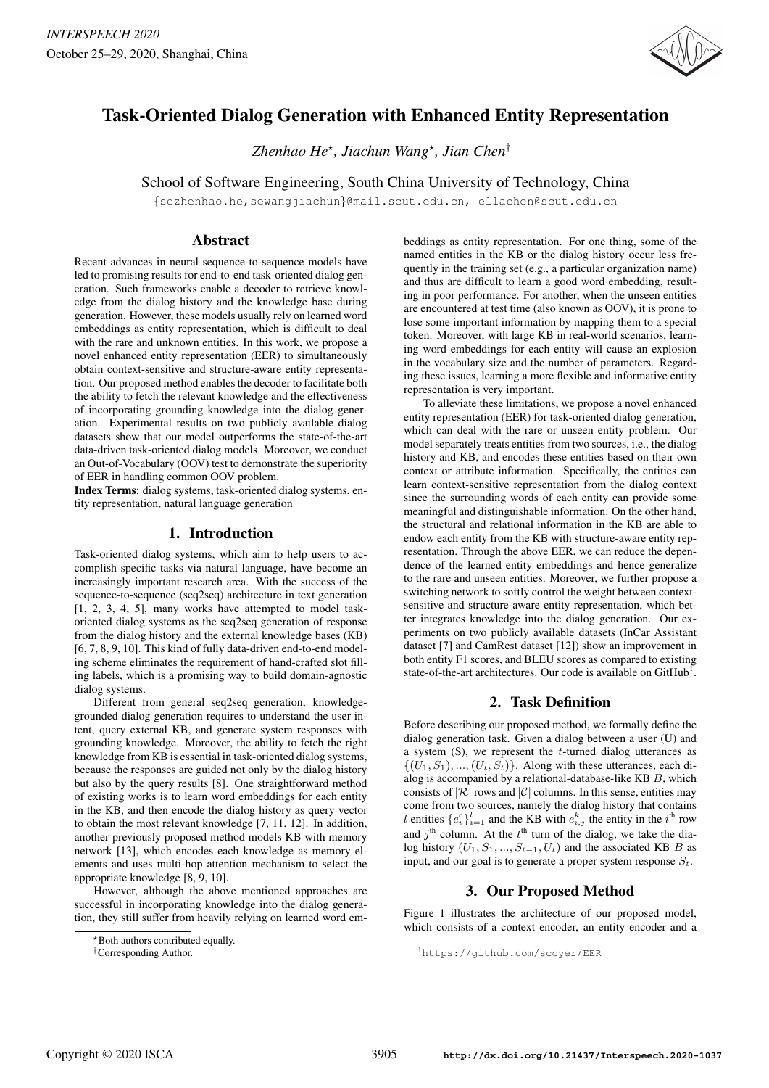

# Task-Oriented Dialog Generation with Enhanced Entity Representation

*Zhenhao He*? *, Jiachun Wang*? *, Jian Chen*†

School of Software Engineering, South China University of Technology, China

{sezhenhao.he,sewangjiachun}@mail.scut.edu.cn, ellachen@scut.edu.cn

## Abstract

Recent advances in neural sequence-to-sequence models have led to promising results for end-to-end task-oriented dialog generation. Such frameworks enable a decoder to retrieve knowledge from the dialog history and the knowledge base during generation. However, these models usually rely on learned word embeddings as entity representation, which is difficult to deal with the rare and unknown entities. In this work, we propose a novel enhanced entity representation (EER) to simultaneously obtain context-sensitive and structure-aware entity representation. Our proposed method enables the decoder to facilitate both the ability to fetch the relevant knowledge and the effectiveness of incorporating grounding knowledge into the dialog generation. Experimental results on two publicly available dialog datasets show that our model outperforms the state-of-the-art data-driven task-oriented dialog models. Moreover, we conduct an Out-of-Vocabulary (OOV) test to demonstrate the superiority of EER in handling common OOV problem.

Index Terms: dialog systems, task-oriented dialog systems, entity representation, natural language generation

## 1. Introduction

Task-oriented dialog systems, which aim to help users to accomplish specific tasks via natural language, have become an increasingly important research area. With the success of the sequence-to-sequence (seq2seq) architecture in text generation [1, 2, 3, 4, 5], many works have attempted to model taskoriented dialog systems as the seq2seq generation of response from the dialog history and the external knowledge bases (KB) [6, 7, 8, 9, 10]. This kind of fully data-driven end-to-end modeling scheme eliminates the requirement of hand-crafted slot filling labels, which is a promising way to build domain-agnostic dialog systems.

Different from general seq2seq generation, knowledgegrounded dialog generation requires to understand the user intent, query external KB, and generate system responses with grounding knowledge. Moreover, the ability to fetch the right knowledge from KB is essential in task-oriented dialog systems, because the responses are guided not only by the dialog history but also by the query results [8]. One straightforward method of existing works is to learn word embeddings for each entity in the KB, and then encode the dialog history as query vector to obtain the most relevant knowledge [7, 11, 12]. In addition, another previously proposed method models KB with memory network [13], which encodes each knowledge as memory elements and uses multi-hop attention mechanism to select the appropriate knowledge [8, 9, 10].

However, although the above mentioned approaches are successful in incorporating knowledge into the dialog generation, they still suffer from heavily relying on learned word embeddings as entity representation. For one thing, some of the named entities in the KB or the dialog history occur less frequently in the training set (e.g., a particular organization name) and thus are difficult to learn a good word embedding, resulting in poor performance. For another, when the unseen entities are encountered at test time (also known as OOV), it is prone to lose some important information by mapping them to a special token. Moreover, with large KB in real-world scenarios, learning word embeddings for each entity will cause an explosion in the vocabulary size and the number of parameters. Regarding these issues, learning a more flexible and informative entity representation is very important.

To alleviate these limitations, we propose a novel enhanced entity representation (EER) for task-oriented dialog generation, which can deal with the rare or unseen entity problem. Our model separately treats entities from two sources, i.e., the dialog history and KB, and encodes these entities based on their own context or attribute information. Specifically, the entities can learn context-sensitive representation from the dialog context since the surrounding words of each entity can provide some meaningful and distinguishable information. On the other hand, the structural and relational information in the KB are able to endow each entity from the KB with structure-aware entity representation. Through the above EER, we can reduce the dependence of the learned entity embeddings and hence generalize to the rare and unseen entities. Moreover, we further propose a switching network to softly control the weight between contextsensitive and structure-aware entity representation, which better integrates knowledge into the dialog generation. Our experiments on two publicly available datasets (InCar Assistant dataset [7] and CamRest dataset [12]) show an improvement in both entity F1 scores, and BLEU scores as compared to existing state-of-the-art architectures. Our code is available on  $G$ it $H$ ub<sup>1</sup>.

# 2. Task Definition

Before describing our proposed method, we formally define the dialog generation task. Given a dialog between a user (U) and a system  $(S)$ , we represent the  $t$ -turned dialog utterances as  $\{(U_1, S_1), ..., (U_t, S_t)\}\$ . Along with these utterances, each dialog is accompanied by a relational-database-like KB  $B$ , which consists of  $|R|$  rows and  $|C|$  columns. In this sense, entities may come from two sources, namely the dialog history that contains l entities  $\{e_i^c\}_{i=1}^l$  and the KB with  $e_{i,j}^k$  the entity in the  $i^{\text{th}}$  row and  $j<sup>th</sup>$  column. At the  $t<sup>th</sup>$  turn of the dialog, we take the dialog history  $(U_1, S_1, ..., S_{t-1}, U_t)$  and the associated KB B as input, and our goal is to generate a proper system response  $S_t$ .

# 3. Our Proposed Method

Figure 1 illustrates the architecture of our proposed model, which consists of a context encoder, an entity encoder and a

<sup>\*</sup> Both authors contributed equally.

<sup>†</sup>Corresponding Author.

<sup>1</sup>https://github.com/scoyer/EER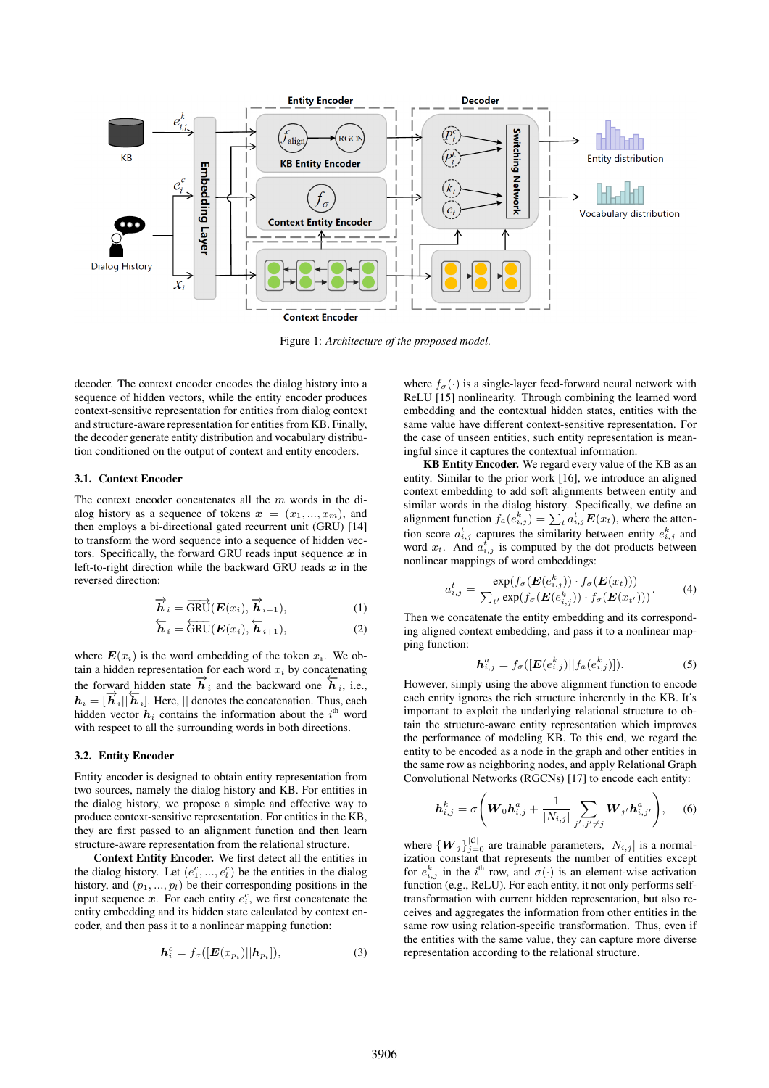

Figure 1: *Architecture of the proposed model.*

decoder. The context encoder encodes the dialog history into a sequence of hidden vectors, while the entity encoder produces context-sensitive representation for entities from dialog context and structure-aware representation for entities from KB. Finally, the decoder generate entity distribution and vocabulary distribution conditioned on the output of context and entity encoders.

#### 3.1. Context Encoder

The context encoder concatenates all the  $m$  words in the dialog history as a sequence of tokens  $x = (x_1, ..., x_m)$ , and then employs a bi-directional gated recurrent unit (GRU) [14] to transform the word sequence into a sequence of hidden vectors. Specifically, the forward GRU reads input sequence  $x$  in left-to-right direction while the backward GRU reads  $x$  in the reversed direction:

$$
\overrightarrow{\boldsymbol{h}}_{i} = \overrightarrow{\text{GRU}}(\boldsymbol{E}(x_{i}), \overrightarrow{\boldsymbol{h}}_{i-1}), \tag{1}
$$

$$
\overleftarrow{\boldsymbol{h}}_{i} = \overleftarrow{\text{GRU}}(\boldsymbol{E}(x_{i}), \overleftarrow{\boldsymbol{h}}_{i+1}), \tag{2}
$$

where  $E(x_i)$  is the word embedding of the token  $x_i$ . We obtain a hidden representation for each word  $x_i$  by concatenating the forward hidden state  $\overrightarrow{h}_i$  and the backward one  $\overleftarrow{h}_i$ , i.e.,  $h_i = [\vec{h}_i||\vec{h}_i]$ . Here, || denotes the concatenation. Thus, each hidden vector  $h_i$  contains the information about the  $i^{\text{th}}$  word with respect to all the surrounding words in both directions.

#### 3.2. Entity Encoder

Entity encoder is designed to obtain entity representation from two sources, namely the dialog history and KB. For entities in the dialog history, we propose a simple and effective way to produce context-sensitive representation. For entities in the KB, they are first passed to an alignment function and then learn structure-aware representation from the relational structure.

Context Entity Encoder. We first detect all the entities in the dialog history. Let  $(e_1^c, ..., e_l^c)$  be the entities in the dialog history, and  $(p_1, ..., p_l)$  be their corresponding positions in the input sequence  $x$ . For each entity  $e_i^c$ , we first concatenate the entity embedding and its hidden state calculated by context encoder, and then pass it to a nonlinear mapping function:

$$
\boldsymbol{h}_i^c = f_\sigma([\boldsymbol{E}(x_{p_i})||\boldsymbol{h}_{p_i}]),\tag{3}
$$

where  $f_{\sigma}(\cdot)$  is a single-layer feed-forward neural network with ReLU [15] nonlinearity. Through combining the learned word embedding and the contextual hidden states, entities with the same value have different context-sensitive representation. For the case of unseen entities, such entity representation is meaningful since it captures the contextual information.

KB Entity Encoder. We regard every value of the KB as an entity. Similar to the prior work [16], we introduce an aligned context embedding to add soft alignments between entity and similar words in the dialog history. Specifically, we define an alignment function  $f_a(e_{i,j}^k) = \sum_t a_{i,j}^t E(x_t)$ , where the attention score  $a_{i,j}^t$  captures the similarity between entity  $e_{i,j}^k$  and word  $x_t$ . And  $a_{i,j}^t$  is computed by the dot products between nonlinear mappings of word embeddings:

$$
a_{i,j}^t = \frac{\exp(f_{\sigma}(\boldsymbol{E}(e_{i,j}^k)) \cdot f_{\sigma}(\boldsymbol{E}(x_t)))}{\sum_{t'} \exp(f_{\sigma}(\boldsymbol{E}(e_{i,j}^k)) \cdot f_{\sigma}(\boldsymbol{E}(x_{t'})))}.
$$
 (4)

Then we concatenate the entity embedding and its corresponding aligned context embedding, and pass it to a nonlinear mapping function:

$$
\boldsymbol{h}_{i,j}^a = f_{\sigma}([\boldsymbol{E}(e_{i,j}^k)||f_a(e_{i,j}^k)]). \tag{5}
$$

However, simply using the above alignment function to encode each entity ignores the rich structure inherently in the KB. It's important to exploit the underlying relational structure to obtain the structure-aware entity representation which improves the performance of modeling KB. To this end, we regard the entity to be encoded as a node in the graph and other entities in the same row as neighboring nodes, and apply Relational Graph Convolutional Networks (RGCNs) [17] to encode each entity:

$$
\boldsymbol{h}_{i,j}^{k} = \sigma \Bigg( \boldsymbol{W}_0 \boldsymbol{h}_{i,j}^a + \frac{1}{|N_{i,j}|} \sum_{j',j'\neq j} \boldsymbol{W}_{j'} \boldsymbol{h}_{i,j'}^a \Bigg), \quad (6)
$$

where  ${W_j}_{j=0}^{|\mathcal{C}|}$  are trainable parameters,  $|N_{i,j}|$  is a normalization constant that represents the number of entities except for  $e_{i,j}^k$  in the i<sup>th</sup> row, and  $\sigma(\cdot)$  is an element-wise activation function (e.g., ReLU). For each entity, it not only performs selftransformation with current hidden representation, but also receives and aggregates the information from other entities in the same row using relation-specific transformation. Thus, even if the entities with the same value, they can capture more diverse representation according to the relational structure.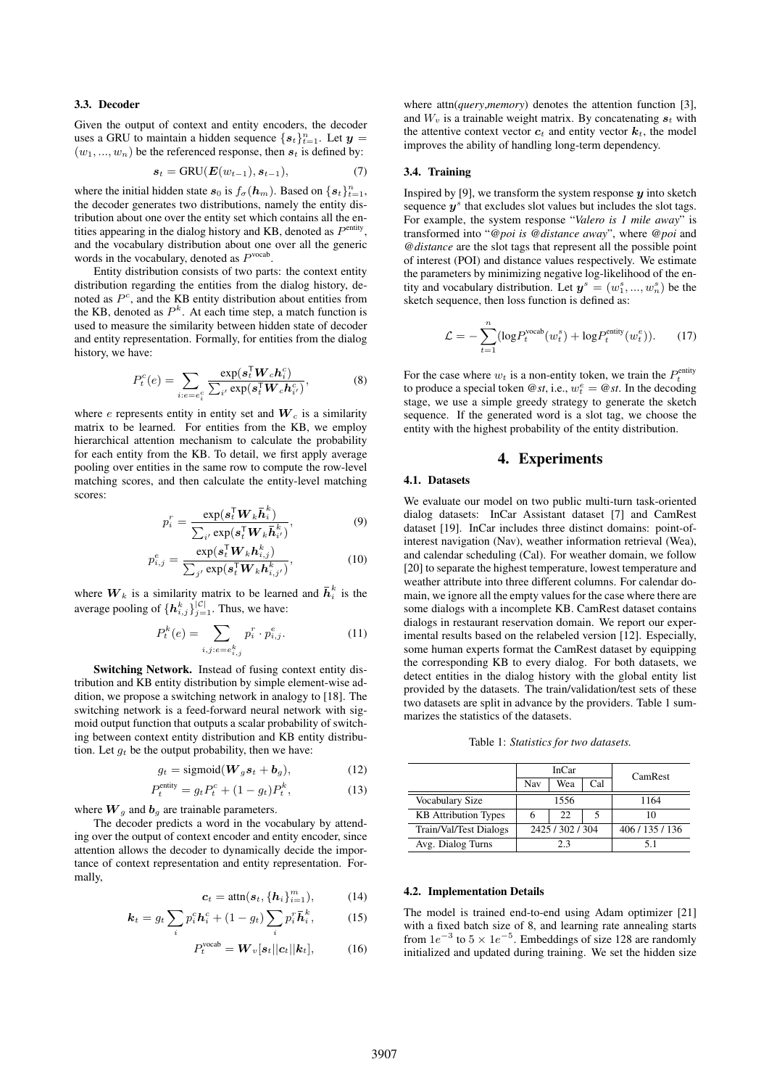#### 3.3. Decoder

Given the output of context and entity encoders, the decoder uses a GRU to maintain a hidden sequence  $\{s_t\}_{t=1}^n$ . Let  $y =$  $(w_1, ..., w_n)$  be the referenced response, then  $s_t$  is defined by:

$$
\boldsymbol{s}_t = \text{GRU}(\boldsymbol{E}(w_{t-1}), \boldsymbol{s}_{t-1}), \tag{7}
$$

where the initial hidden state  $s_0$  is  $f_\sigma(h_m)$ . Based on  $\{s_t\}_{t=1}^n$ , the decoder generates two distributions, namely the entity distribution about one over the entity set which contains all the entities appearing in the dialog history and KB, denoted as  $P<sup>entity</sup>$ , and the vocabulary distribution about one over all the generic words in the vocabulary, denoted as  $P<sup>vocab</sup>$ .

Entity distribution consists of two parts: the context entity distribution regarding the entities from the dialog history, denoted as  $P^c$ , and the KB entity distribution about entities from the KB, denoted as  $P^k$ . At each time step, a match function is used to measure the similarity between hidden state of decoder and entity representation. Formally, for entities from the dialog history, we have:

$$
P_t^c(e) = \sum_{i:e=e_i^c} \frac{\exp(s_i^{\mathsf{T}} \boldsymbol{W}_c h_i^c)}{\sum_{i'} \exp(s_i^{\mathsf{T}} \boldsymbol{W}_c h_{i'}^c)},
$$
(8)

where e represents entity in entity set and  $W_c$  is a similarity matrix to be learned. For entities from the KB, we employ hierarchical attention mechanism to calculate the probability for each entity from the KB. To detail, we first apply average pooling over entities in the same row to compute the row-level matching scores, and then calculate the entity-level matching scores:

$$
p_i^r = \frac{\exp(\boldsymbol{s}_t^{\mathsf{T}} \boldsymbol{W}_k \boldsymbol{\bar{h}}_i^k)}{\sum_{i'} \exp(\boldsymbol{s}_t^{\mathsf{T}} \boldsymbol{W}_k \boldsymbol{\bar{h}}_{i'}^k)},
$$
(9)

$$
p_{i,j}^e = \frac{\exp(\boldsymbol{s}_t^{\mathsf{T}} \boldsymbol{W}_k \boldsymbol{h}_{i,j}^k)}{\sum_{j'} \exp(\boldsymbol{s}_t^{\mathsf{T}} \boldsymbol{W}_k \boldsymbol{h}_{i,j'}^k)},
$$
(10)

where  $W_k$  is a similarity matrix to be learned and  $\bar{h}_i^k$  is the average pooling of  $\{\boldsymbol{h}_{i,j}^k\}_{j=1}^{|\mathcal{C}|}$ . Thus, we have:

$$
P_t^k(e) = \sum_{i,j:e=e_{i,j}^k} p_i^r \cdot p_{i,j}^e.
$$
 (11)

Switching Network. Instead of fusing context entity distribution and KB entity distribution by simple element-wise addition, we propose a switching network in analogy to [18]. The switching network is a feed-forward neural network with sigmoid output function that outputs a scalar probability of switching between context entity distribution and KB entity distribution. Let  $g_t$  be the output probability, then we have:

$$
g_t = \text{sigmoid}(\boldsymbol{W}_g \boldsymbol{s}_t + \boldsymbol{b}_g), \tag{12}
$$

$$
P_t^{\text{entity}} = g_t P_t^c + (1 - g_t) P_t^k, \tag{13}
$$

where  $\boldsymbol{W}_g$  and  $\boldsymbol{b}_g$  are trainable parameters.

The decoder predicts a word in the vocabulary by attending over the output of context encoder and entity encoder, since attention allows the decoder to dynamically decide the importance of context representation and entity representation. Formally,

$$
\boldsymbol{c}_t = \text{attn}(\boldsymbol{s}_t, \{\boldsymbol{h}_i\}_{i=1}^m), \tag{14}
$$

$$
\boldsymbol{k}_t = g_t \sum_i p_i^c \boldsymbol{h}_i^c + (1 - g_t) \sum_i p_i^r \boldsymbol{\bar{h}}_i^k, \qquad (15)
$$

$$
P_t^{\text{vocab}} = \boldsymbol{W}_v[\boldsymbol{s}_t || \boldsymbol{c}_t || \boldsymbol{k}_t], \quad (16)
$$

where attn(*query*,*memory*) denotes the attention function [3], and  $W_v$  is a trainable weight matrix. By concatenating  $s_t$  with the attentive context vector  $c_t$  and entity vector  $k_t$ , the model improves the ability of handling long-term dependency.

#### 3.4. Training

Inspired by [9], we transform the system response  $\boldsymbol{\psi}$  into sketch sequence  $y^s$  that excludes slot values but includes the slot tags. For example, the system response "*Valero is 1 mile away*" is transformed into "*@poi is @distance away*", where *@poi* and *@distance* are the slot tags that represent all the possible point of interest (POI) and distance values respectively. We estimate the parameters by minimizing negative log-likelihood of the entity and vocabulary distribution. Let  $y^s = (w_1^s, ..., w_n^s)$  be the sketch sequence, then loss function is defined as:

$$
\mathcal{L} = -\sum_{t=1}^{n} (\log P_t^{\text{vocab}}(w_t^s) + \log P_t^{\text{entity}}(w_t^e)).
$$
 (17)

For the case where  $w_t$  is a non-entity token, we train the  $P_t^{\text{entity}}$ to produce a special token  $\mathcal{Q}_{st}$ , i.e.,  $w_t^e = \mathcal{Q}_{st}$ . In the decoding stage, we use a simple greedy strategy to generate the sketch sequence. If the generated word is a slot tag, we choose the entity with the highest probability of the entity distribution.

## 4. Experiments

#### 4.1. Datasets

We evaluate our model on two public multi-turn task-oriented dialog datasets: InCar Assistant dataset [7] and CamRest dataset [19]. InCar includes three distinct domains: point-ofinterest navigation (Nav), weather information retrieval (Wea), and calendar scheduling (Cal). For weather domain, we follow [20] to separate the highest temperature, lowest temperature and weather attribute into three different columns. For calendar domain, we ignore all the empty values for the case where there are some dialogs with a incomplete KB. CamRest dataset contains dialogs in restaurant reservation domain. We report our experimental results based on the relabeled version [12]. Especially, some human experts format the CamRest dataset by equipping the corresponding KB to every dialog. For both datasets, we detect entities in the dialog history with the global entity list provided by the datasets. The train/validation/test sets of these two datasets are split in advance by the providers. Table 1 summarizes the statistics of the datasets.

Table 1: *Statistics for two datasets.*

|                             | InCar            |     |     | CamRest     |  |
|-----------------------------|------------------|-----|-----|-------------|--|
|                             | Nav              | Wea | Cal |             |  |
| Vocabulary Size             | 1556             |     |     | 1164        |  |
| <b>KB</b> Attribution Types |                  | 22  |     | 10          |  |
| Train/Val/Test Dialogs      | 2425 / 302 / 304 |     |     | 406/135/136 |  |
| Avg. Dialog Turns           | 2.3              |     |     | 5.1         |  |

#### 4.2. Implementation Details

The model is trained end-to-end using Adam optimizer [21] with a fixed batch size of 8, and learning rate annealing starts from  $1e^{-3}$  to  $5 \times 1e^{-5}$ . Embeddings of size 128 are randomly initialized and updated during training. We set the hidden size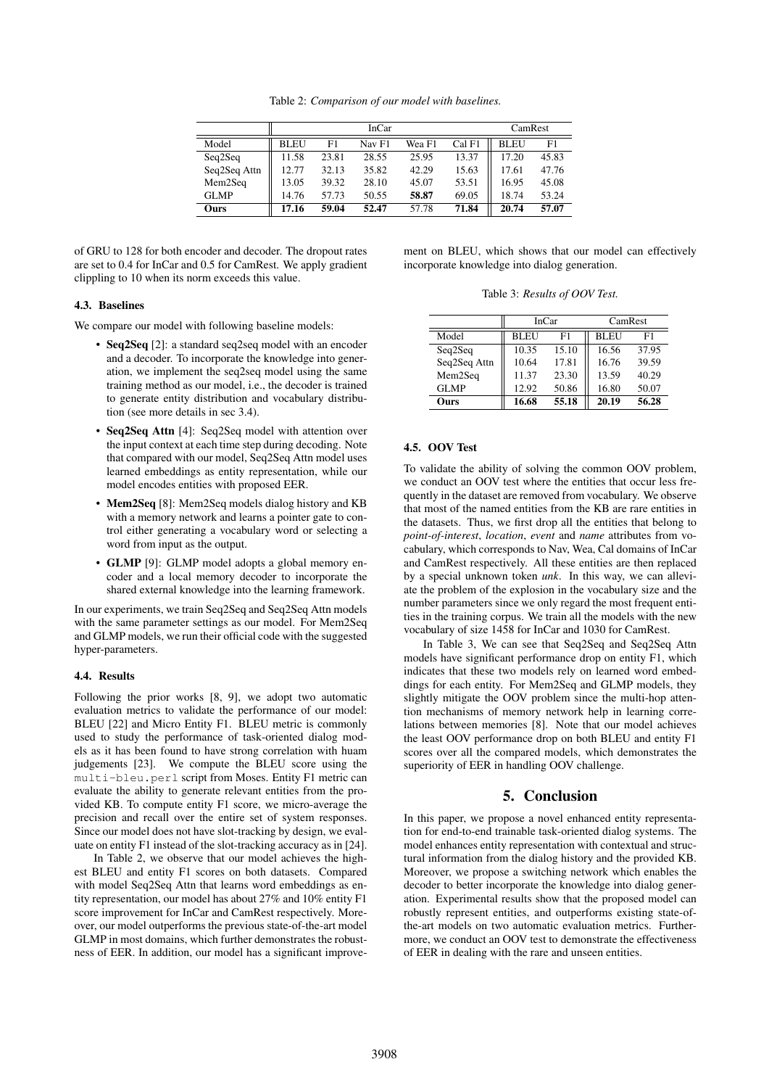Table 2: *Comparison of our model with baselines.*

|              | <b>InCar</b> |       |        |        |        | CamRest     |                |
|--------------|--------------|-------|--------|--------|--------|-------------|----------------|
| Model        | <b>BLEU</b>  | F1    | Nav F1 | Wea F1 | Cal F1 | <b>BLEU</b> | F <sub>1</sub> |
| Seq2Seq      | 11.58        | 23.81 | 28.55  | 25.95  | 13.37  | 17.20       | 45.83          |
| Seq2Seq Attn | 12.77        | 32.13 | 35.82  | 42.29  | 15.63  | 17.61       | 47.76          |
| Mem2Seq      | 13.05        | 39.32 | 28.10  | 45.07  | 53.51  | 16.95       | 45.08          |
| <b>GLMP</b>  | 14.76        | 57.73 | 50.55  | 58.87  | 69.05  | 18.74       | 53.24          |
| Ours         | 17.16        | 59.04 | 52.47  | 57.78  | 71.84  | 20.74       | 57.07          |

of GRU to 128 for both encoder and decoder. The dropout rates are set to 0.4 for InCar and 0.5 for CamRest. We apply gradient clippling to 10 when its norm exceeds this value.

#### 4.3. Baselines

We compare our model with following baseline models:

- Seq2Seq [2]: a standard seq2seq model with an encoder and a decoder. To incorporate the knowledge into generation, we implement the seq2seq model using the same training method as our model, i.e., the decoder is trained to generate entity distribution and vocabulary distribution (see more details in sec 3.4).
- Seq2Seq Attn [4]: Seq2Seq model with attention over the input context at each time step during decoding. Note that compared with our model, Seq2Seq Attn model uses learned embeddings as entity representation, while our model encodes entities with proposed EER.
- Mem2Seq [8]: Mem2Seq models dialog history and KB with a memory network and learns a pointer gate to control either generating a vocabulary word or selecting a word from input as the output.
- GLMP [9]: GLMP model adopts a global memory encoder and a local memory decoder to incorporate the shared external knowledge into the learning framework.

In our experiments, we train Seq2Seq and Seq2Seq Attn models with the same parameter settings as our model. For Mem2Seq and GLMP models, we run their official code with the suggested hyper-parameters.

#### 4.4. Results

Following the prior works [8, 9], we adopt two automatic evaluation metrics to validate the performance of our model: BLEU [22] and Micro Entity F1. BLEU metric is commonly used to study the performance of task-oriented dialog models as it has been found to have strong correlation with huam judgements [23]. We compute the BLEU score using the multi-bleu.perl script from Moses. Entity F1 metric can evaluate the ability to generate relevant entities from the provided KB. To compute entity F1 score, we micro-average the precision and recall over the entire set of system responses. Since our model does not have slot-tracking by design, we evaluate on entity F1 instead of the slot-tracking accuracy as in [24].

In Table 2, we observe that our model achieves the highest BLEU and entity F1 scores on both datasets. Compared with model Seq2Seq Attn that learns word embeddings as entity representation, our model has about 27% and 10% entity F1 score improvement for InCar and CamRest respectively. Moreover, our model outperforms the previous state-of-the-art model GLMP in most domains, which further demonstrates the robustness of EER. In addition, our model has a significant improvement on BLEU, which shows that our model can effectively incorporate knowledge into dialog generation.

Table 3: *Results of OOV Test.*

|              |             | <b>InCar</b> | CamRest     |       |  |
|--------------|-------------|--------------|-------------|-------|--|
| Model        | <b>BLEU</b> | F1           | <b>BLEU</b> | F1    |  |
| Seq2Seq      | 10.35       | 15.10        | 16.56       | 37.95 |  |
| Seq2Seq Attn | 10.64       | 17.81        | 16.76       | 39.59 |  |
| Mem2Seq      | 11.37       | 23.30        | 13.59       | 40.29 |  |
| <b>GLMP</b>  | 12.92       | 50.86        | 16.80       | 50.07 |  |
| Ours         | 16.68       | 55.18        | 20.19       | 56.28 |  |

## 4.5. OOV Test

To validate the ability of solving the common OOV problem, we conduct an OOV test where the entities that occur less frequently in the dataset are removed from vocabulary. We observe that most of the named entities from the KB are rare entities in the datasets. Thus, we first drop all the entities that belong to *point-of-interest*, *location*, *event* and *name* attributes from vocabulary, which corresponds to Nav, Wea, Cal domains of InCar and CamRest respectively. All these entities are then replaced by a special unknown token *unk*. In this way, we can alleviate the problem of the explosion in the vocabulary size and the number parameters since we only regard the most frequent entities in the training corpus. We train all the models with the new vocabulary of size 1458 for InCar and 1030 for CamRest.

In Table 3, We can see that Seq2Seq and Seq2Seq Attn models have significant performance drop on entity F1, which indicates that these two models rely on learned word embeddings for each entity. For Mem2Seq and GLMP models, they slightly mitigate the OOV problem since the multi-hop attention mechanisms of memory network help in learning correlations between memories [8]. Note that our model achieves the least OOV performance drop on both BLEU and entity F1 scores over all the compared models, which demonstrates the superiority of EER in handling OOV challenge.

## 5. Conclusion

In this paper, we propose a novel enhanced entity representation for end-to-end trainable task-oriented dialog systems. The model enhances entity representation with contextual and structural information from the dialog history and the provided KB. Moreover, we propose a switching network which enables the decoder to better incorporate the knowledge into dialog generation. Experimental results show that the proposed model can robustly represent entities, and outperforms existing state-ofthe-art models on two automatic evaluation metrics. Furthermore, we conduct an OOV test to demonstrate the effectiveness of EER in dealing with the rare and unseen entities.